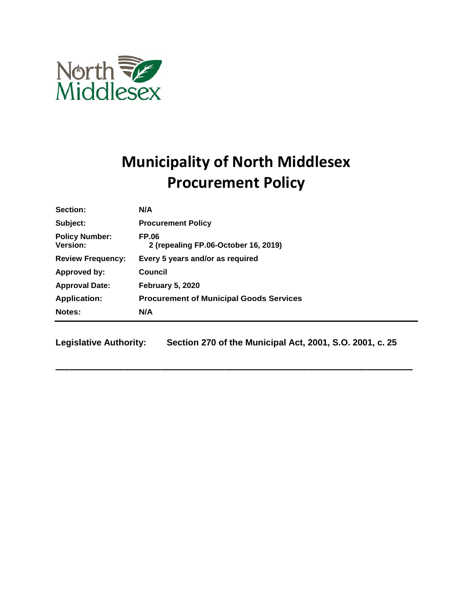

# **Municipality of North Middlesex Procurement Policy**

| Section:                                 | N/A                                                  |
|------------------------------------------|------------------------------------------------------|
| Subject:                                 | <b>Procurement Policy</b>                            |
| <b>Policy Number:</b><br><b>Version:</b> | <b>FP.06</b><br>2 (repealing FP.06-October 16, 2019) |
| <b>Review Frequency:</b>                 | Every 5 years and/or as required                     |
| Approved by:                             | Council                                              |
| <b>Approval Date:</b>                    | <b>February 5, 2020</b>                              |
| <b>Application:</b>                      | <b>Procurement of Municipal Goods Services</b>       |
| Notes:                                   | N/A                                                  |

**Legislative Authority: Section 270 of the Municipal Act, 2001, S.O. 2001, c. 25**

**\_\_\_\_\_\_\_\_\_\_\_\_\_\_\_\_\_\_\_\_\_\_\_\_\_\_\_\_\_\_\_\_\_\_\_\_\_\_\_\_\_\_\_\_\_\_\_\_\_\_\_\_\_\_\_\_\_\_\_\_\_\_\_\_\_\_\_\_\_\_\_\_\_\_\_\_\_\_**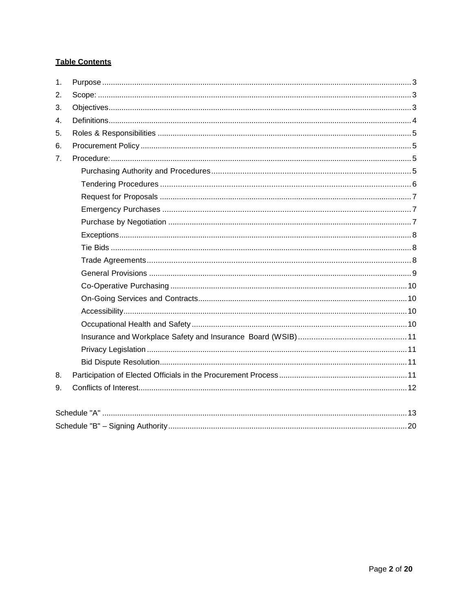# **Table Contents**

| 1.             |  |
|----------------|--|
| 2.             |  |
| 3.             |  |
| 4.             |  |
| 5.             |  |
| 6.             |  |
| 7 <sub>1</sub> |  |
|                |  |
|                |  |
|                |  |
|                |  |
|                |  |
|                |  |
|                |  |
|                |  |
|                |  |
|                |  |
|                |  |
|                |  |
|                |  |
|                |  |
|                |  |
|                |  |
| 8.             |  |
| 9.             |  |
|                |  |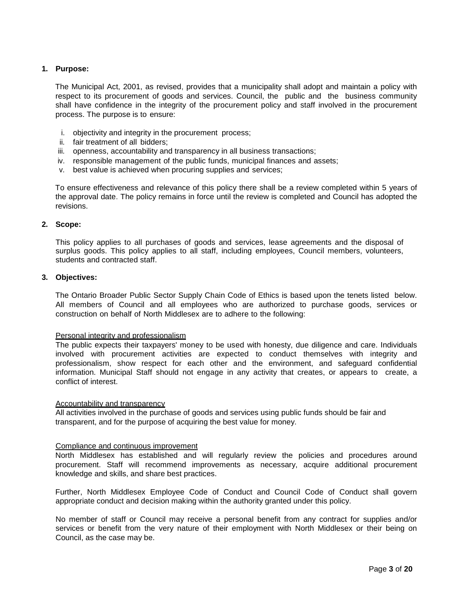#### <span id="page-2-0"></span>**1. Purpose:**

The Municipal Act, 2001, as revised, provides that a municipality shall adopt and maintain a policy with respect to its procurement of goods and services. Council, the public and the business community shall have confidence in the integrity of the procurement policy and staff involved in the procurement process. The purpose is to ensure:

- i. objectivity and integrity in the procurement process;
- ii. fair treatment of all bidders;
- iii. openness, accountability and transparency in all business transactions;
- iv. responsible management of the public funds, municipal finances and assets;
- v. best value is achieved when procuring supplies and services;

To ensure effectiveness and relevance of this policy there shall be a review completed within 5 years of the approval date. The policy remains in force until the review is completed and Council has adopted the revisions.

#### <span id="page-2-1"></span>**2. Scope:**

This policy applies to all purchases of goods and services, lease agreements and the disposal of surplus goods. This policy applies to all staff, including employees, Council members, volunteers, students and contracted staff.

#### <span id="page-2-2"></span>**3. Objectives:**

The Ontario Broader Public Sector Supply Chain Code of Ethics is based upon the tenets listed below. All members of Council and all employees who are authorized to purchase goods, services or construction on behalf of North Middlesex are to adhere to the following:

#### Personal integrity and professionalism

The public expects their taxpayers' money to be used with honesty, due diligence and care. Individuals involved with procurement activities are expected to conduct themselves with integrity and professionalism, show respect for each other and the environment, and safeguard confidential information. Municipal Staff should not engage in any activity that creates, or appears to create, a conflict of interest.

#### Accountability and transparency

All activities involved in the purchase of goods and services using public funds should be fair and transparent, and for the purpose of acquiring the best value for money.

#### Compliance and continuous improvement

North Middlesex has established and will regularly review the policies and procedures around procurement. Staff will recommend improvements as necessary, acquire additional procurement knowledge and skills, and share best practices.

Further, North Middlesex Employee Code of Conduct and Council Code of Conduct shall govern appropriate conduct and decision making within the authority granted under this policy.

No member of staff or Council may receive a personal benefit from any contract for supplies and/or services or benefit from the very nature of their employment with North Middlesex or their being on Council, as the case may be.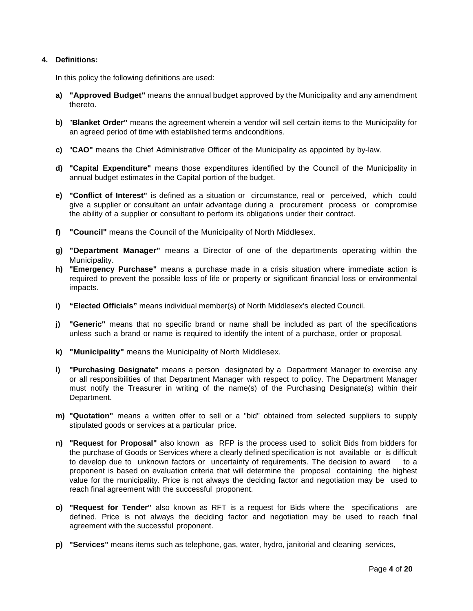#### <span id="page-3-0"></span>**4. Definitions:**

In this policy the following definitions are used:

- **a) "Approved Budget"** means the annual budget approved by the Municipality and any amendment thereto.
- **b)** "**Blanket Order"** means the agreement wherein a vendor will sell certain items to the Municipality for an agreed period of time with established terms andconditions.
- **c)** "**CAO"** means the Chief Administrative Officer of the Municipality as appointed by by-law.
- **d) "Capital Expenditure"** means those expenditures identified by the Council of the Municipality in annual budget estimates in the Capital portion of the budget.
- **e) "Conflict of Interest"** is defined as a situation or circumstance, real or perceived, which could give a supplier or consultant an unfair advantage during a procurement process or compromise the ability of a supplier or consultant to perform its obligations under their contract.
- **f) "Council"** means the Council of the Municipality of North Middlesex.
- **g) "Department Manager"** means a Director of one of the departments operating within the Municipality.
- **h) "Emergency Purchase"** means a purchase made in a crisis situation where immediate action is required to prevent the possible loss of life or property or significant financial loss or environmental impacts.
- **i) "Elected Officials"** means individual member(s) of North Middlesex's elected Council.
- **j) "Generic"** means that no specific brand or name shall be included as part of the specifications unless such a brand or name is required to identify the intent of a purchase, order or proposal.
- **k) "Municipality"** means the Municipality of North Middlesex.
- **l) "Purchasing Designate"** means a person designated by a Department Manager to exercise any or all responsibilities of that Department Manager with respect to policy. The Department Manager must notify the Treasurer in writing of the name(s) of the Purchasing Designate(s) within their Department.
- **m) "Quotation"** means a written offer to sell or a "bid" obtained from selected suppliers to supply stipulated goods or services at a particular price.
- **n) "Request for Proposal"** also known as RFP is the process used to solicit Bids from bidders for the purchase of Goods or Services where a clearly defined specification is not available or is difficult to develop due to unknown factors or uncertainty of requirements. The decision to award to a proponent is based on evaluation criteria that will determine the proposal containing the highest value for the municipality. Price is not always the deciding factor and negotiation may be used to reach final agreement with the successful proponent.
- **o) "Request for Tender"** also known as RFT is a request for Bids where the specifications are defined. Price is not always the deciding factor and negotiation may be used to reach final agreement with the successful proponent.
- **p) "Services"** means items such as telephone, gas, water, hydro, janitorial and cleaning services,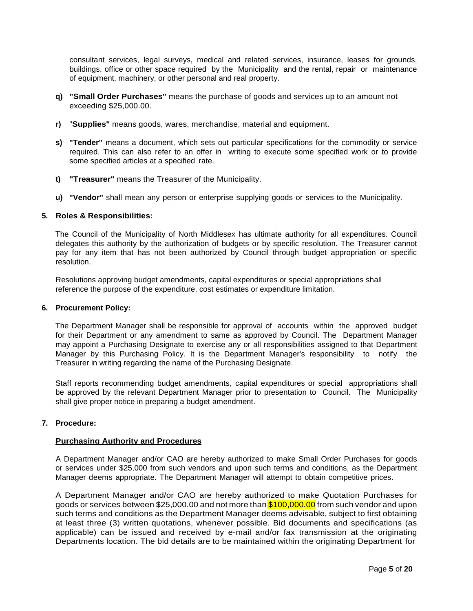consultant services, legal surveys, medical and related services, insurance, leases for grounds, buildings, office or other space required by the Municipality and the rental, repair or maintenance of equipment, machinery, or other personal and real property.

- **q) "Small Order Purchases"** means the purchase of goods and services up to an amount not exceeding \$25,000.00.
- **r)** "**Supplies"** means goods, wares, merchandise, material and equipment.
- **s) "Tender"** means a document, which sets out particular specifications for the commodity or service required. This can also refer to an offer in writing to execute some specified work or to provide some specified articles at a specified rate.
- **t) "Treasurer"** means the Treasurer of the Municipality.
- **u) "Vendor"** shall mean any person or enterprise supplying goods or services to the Municipality.

#### <span id="page-4-0"></span>**5. Roles & Responsibilities:**

The Council of the Municipality of North Middlesex has ultimate authority for all expenditures. Council delegates this authority by the authorization of budgets or by specific resolution. The Treasurer cannot pay for any item that has not been authorized by Council through budget appropriation or specific resolution.

Resolutions approving budget amendments, capital expenditures or special appropriations shall reference the purpose of the expenditure, cost estimates or expenditure limitation.

#### <span id="page-4-1"></span>**6. Procurement Policy:**

The Department Manager shall be responsible for approval of accounts within the approved budget for their Department or any amendment to same as approved by Council. The Department Manager may appoint a Purchasing Designate to exercise any or all responsibilities assigned to that Department Manager by this Purchasing Policy. It is the Department Manager's responsibility to notify the Treasurer in writing regarding the name of the Purchasing Designate.

Staff reports recommending budget amendments, capital expenditures or special appropriations shall be approved by the relevant Department Manager prior to presentation to Council. The Municipality shall give proper notice in preparing a budget amendment.

# <span id="page-4-3"></span><span id="page-4-2"></span>**7. Procedure:**

#### **Purchasing Authority and Procedures**

A Department Manager and/or CAO are hereby authorized to make Small Order Purchases for goods or services under \$25,000 from such vendors and upon such terms and conditions, as the Department Manager deems appropriate. The Department Manager will attempt to obtain competitive prices.

A Department Manager and/or CAO are hereby authorized to make Quotation Purchases for goods or services between \$25,000.00 and not more than \$100,000.00 from such vendor and upon such terms and conditions as the Department Manager deems advisable, subject to first obtaining at least three (3) written quotations, whenever possible. Bid documents and specifications (as applicable) can be issued and received by e-mail and/or fax transmission at the originating Departments location. The bid details are to be maintained within the originating Department for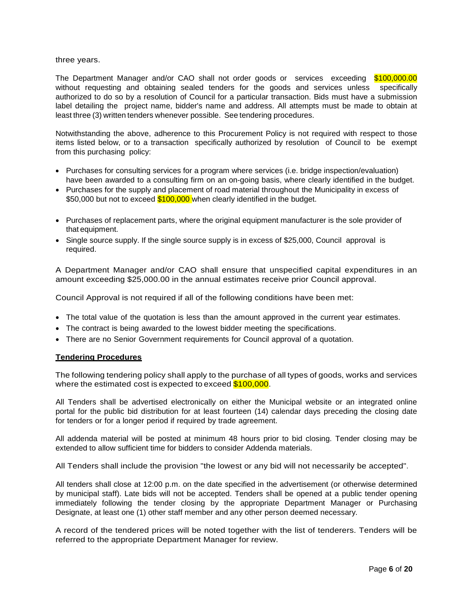#### three years.

The Department Manager and/or CAO shall not order goods or services exceeding \$100,000.00 without requesting and obtaining sealed tenders for the goods and services unless specifically authorized to do so by a resolution of Council for a particular transaction. Bids must have a submission label detailing the project name, bidder's name and address. All attempts must be made to obtain at least three (3) written tenders whenever possible. See tendering procedures.

Notwithstanding the above, adherence to this Procurement Policy is not required with respect to those items listed below, or to a transaction specifically authorized by resolution of Council to be exempt from this purchasing policy:

- Purchases for consulting services for a program where services (i.e. bridge inspection/evaluation) have been awarded to a consulting firm on an on-going basis, where clearly identified in the budget.
- Purchases for the supply and placement of road material throughout the Municipality in excess of \$50,000 but not to exceed \$100,000 when clearly identified in the budget.
- Purchases of replacement parts, where the original equipment manufacturer is the sole provider of that equipment.
- Single source supply. If the single source supply is in excess of \$25,000, Council approval is required.

A Department Manager and/or CAO shall ensure that unspecified capital expenditures in an amount exceeding \$25,000.00 in the annual estimates receive prior Council approval.

Council Approval is not required if all of the following conditions have been met:

- The total value of the quotation is less than the amount approved in the current year estimates.
- The contract is being awarded to the lowest bidder meeting the specifications.
- There are no Senior Government requirements for Council approval of a quotation.

#### <span id="page-5-0"></span>**Tendering Procedures**

The following tendering policy shall apply to the purchase of all types of goods, works and services where the estimated cost is expected to exceed \$100,000.

All Tenders shall be advertised electronically on either the Municipal website or an integrated online portal for the public bid distribution for at least fourteen (14) calendar days preceding the closing date for tenders or for a longer period if required by trade agreement.

All addenda material will be posted at minimum 48 hours prior to bid closing. Tender closing may be extended to allow sufficient time for bidders to consider Addenda materials.

All Tenders shall include the provision "the lowest or any bid will not necessarily be accepted".

All tenders shall close at 12:00 p.m. on the date specified in the advertisement (or otherwise determined by municipal staff). Late bids will not be accepted. Tenders shall be opened at a public tender opening immediately following the tender closing by the appropriate Department Manager or Purchasing Designate, at least one (1) other staff member and any other person deemed necessary.

A record of the tendered prices will be noted together with the list of tenderers. Tenders will be referred to the appropriate Department Manager for review.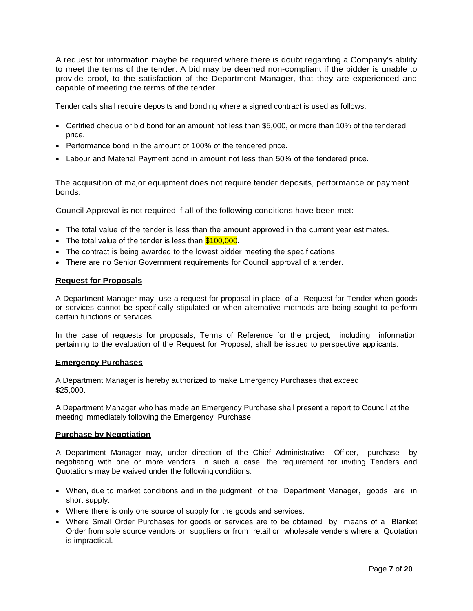A request for information maybe be required where there is doubt regarding a Company's ability to meet the terms of the tender. A bid may be deemed non-compliant if the bidder is unable to provide proof, to the satisfaction of the Department Manager, that they are experienced and capable of meeting the terms of the tender.

Tender calls shall require deposits and bonding where a signed contract is used as follows:

- Certified cheque or bid bond for an amount not less than \$5,000, or more than 10% of the tendered price.
- Performance bond in the amount of 100% of the tendered price.
- Labour and Material Payment bond in amount not less than 50% of the tendered price.

The acquisition of major equipment does not require tender deposits, performance or payment bonds.

Council Approval is not required if all of the following conditions have been met:

- The total value of the tender is less than the amount approved in the current year estimates.
- The total value of the tender is less than \$100,000.
- The contract is being awarded to the lowest bidder meeting the specifications.
- There are no Senior Government requirements for Council approval of a tender.

#### <span id="page-6-0"></span>**Request for Proposals**

A Department Manager may use a request for proposal in place of a Request for Tender when goods or services cannot be specifically stipulated or when alternative methods are being sought to perform certain functions or services.

In the case of requests for proposals, Terms of Reference for the project, including information pertaining to the evaluation of the Request for Proposal, shall be issued to perspective applicants.

#### <span id="page-6-1"></span>**Emergency Purchases**

A Department Manager is hereby authorized to make Emergency Purchases that exceed \$25,000.

A Department Manager who has made an Emergency Purchase shall present a report to Council at the meeting immediately following the Emergency Purchase.

#### <span id="page-6-2"></span>**Purchase by Negotiation**

A Department Manager may, under direction of the Chief Administrative Officer, purchase by negotiating with one or more vendors. In such a case, the requirement for inviting Tenders and Quotations may be waived under the following conditions:

- When, due to market conditions and in the judgment of the Department Manager, goods are in short supply.
- Where there is only one source of supply for the goods and services.
- Where Small Order Purchases for goods or services are to be obtained by means of a Blanket Order from sole source vendors or suppliers or from retail or wholesale venders where a Quotation is impractical.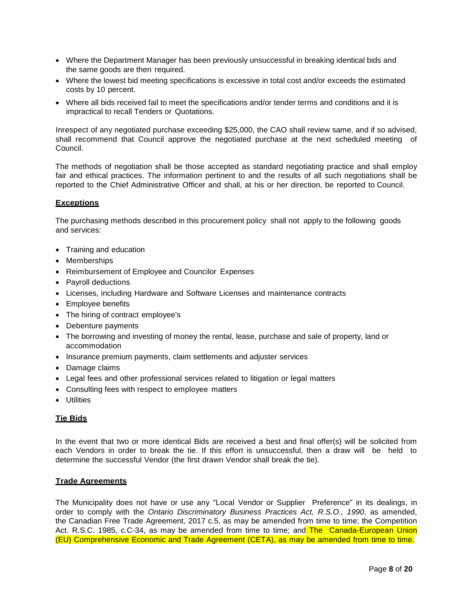- Where the Department Manager has been previously unsuccessful in breaking identical bids and the same goods are then required.
- Where the lowest bid meeting specifications is excessive in total cost and/or exceeds the estimated costs by 10 percent.
- Where all bids received fail to meet the specifications and/or tender terms and conditions and it is impractical to recall Tenders or Quotations.

Inrespect of any negotiated purchase exceeding \$25,000, the CAO shall review same, and if so advised, shall recommend that Council approve the negotiated purchase at the next scheduled meeting of Council.

The methods of negotiation shall be those accepted as standard negotiating practice and shall employ fair and ethical practices. The information pertinent to and the results of all such negotiations shall be reported to the Chief Administrative Officer and shall, at his or her direction, be reported to Council.

#### <span id="page-7-0"></span>**Exceptions**

The purchasing methods described in this procurement policy shall not apply to the following goods and services:

- Training and education
- Memberships
- Reimbursement of Employee and Councilor Expenses
- Payroll deductions
- Licenses, including Hardware and Software Licenses and maintenance contracts
- Employee benefits
- The hiring of contract employee's
- Debenture payments
- The borrowing and investing of money the rental, lease, purchase and sale of property, land or accommodation
- Insurance premium payments, claim settlements and adjuster services
- Damage claims
- Legal fees and other professional services related to litigation or legal matters
- Consulting fees with respect to employee matters
- Utilities

# <span id="page-7-1"></span>**Tie Bids**

In the event that two or more identical Bids are received a best and final offer(s) will be solicited from each Vendors in order to break the tie. If this effort is unsuccessful, then a draw will be held to determine the successful Vendor (the first drawn Vendor shall break the tie).

#### <span id="page-7-2"></span>**Trade Agreements**

The Municipality does not have or use any "Local Vendor or Supplier Preference" in its dealings, in order to comply with the *Ontario Discriminatory Business Practices Act, R.S.O., 1990*, as amended, the Canadian Free Trade Agreement, 2017 c.5, as may be amended from time to time; the Competition Act. R.S.C. 1985, c.C-34, as may be amended from time to time; and The Canada-European Union (EU) Comprehensive Economic and Trade Agreement (CETA), as may be amended from time to time.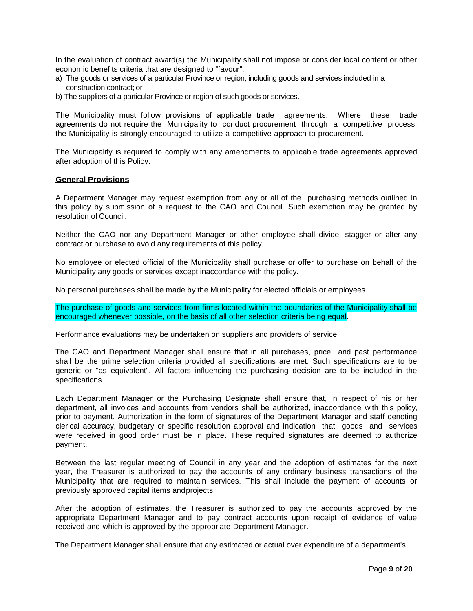In the evaluation of contract award(s) the Municipality shall not impose or consider local content or other economic benefits criteria that are designed to "favour":

- a) The goods or services of a particular Province or region, including goods and services included in a construction contract; or
- b) The suppliers of a particular Province or region of such goods or services.

The Municipality must follow provisions of applicable trade agreements. Where these trade agreements do not require the Municipality to conduct procurement through a competitive process, the Municipality is strongly encouraged to utilize a competitive approach to procurement.

The Municipality is required to comply with any amendments to applicable trade agreements approved after adoption of this Policy.

#### <span id="page-8-0"></span>**General Provisions**

A Department Manager may request exemption from any or all of the purchasing methods outlined in this policy by submission of a request to the CAO and Council. Such exemption may be granted by resolution of Council.

Neither the CAO nor any Department Manager or other employee shall divide, stagger or alter any contract or purchase to avoid any requirements of this policy.

No employee or elected official of the Municipality shall purchase or offer to purchase on behalf of the Municipality any goods or services except inaccordance with the policy.

No personal purchases shall be made by the Municipality for elected officials or employees.

The purchase of goods and services from firms located within the boundaries of the Municipality shall be encouraged whenever possible, on the basis of all other selection criteria being equal.

Performance evaluations may be undertaken on suppliers and providers of service.

The CAO and Department Manager shall ensure that in all purchases, price and past performance shall be the prime selection criteria provided all specifications are met. Such specifications are to be generic or "as equivalent". All factors influencing the purchasing decision are to be included in the specifications.

Each Department Manager or the Purchasing Designate shall ensure that, in respect of his or her department, all invoices and accounts from vendors shall be authorized, inaccordance with this policy, prior to payment. Authorization in the form of signatures of the Department Manager and staff denoting clerical accuracy, budgetary or specific resolution approval and indication that goods and services were received in good order must be in place. These required signatures are deemed to authorize payment.

Between the last regular meeting of Council in any year and the adoption of estimates for the next year, the Treasurer is authorized to pay the accounts of any ordinary business transactions of the Municipality that are required to maintain services. This shall include the payment of accounts or previously approved capital items andprojects.

After the adoption of estimates, the Treasurer is authorized to pay the accounts approved by the appropriate Department Manager and to pay contract accounts upon receipt of evidence of value received and which is approved by the appropriate Department Manager.

The Department Manager shall ensure that any estimated or actual over expenditure of a department's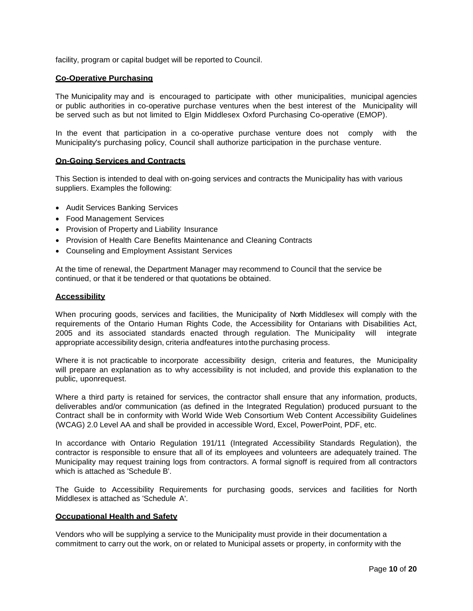facility, program or capital budget will be reported to Council.

#### <span id="page-9-0"></span>**Co-Operative Purchasing**

The Municipality may and is encouraged to participate with other municipalities, municipal agencies or public authorities in co-operative purchase ventures when the best interest of the Municipality will be served such as but not limited to Elgin Middlesex Oxford Purchasing Co-operative (EMOP).

In the event that participation in a co-operative purchase venture does not comply with the Municipality's purchasing policy, Council shall authorize participation in the purchase venture.

#### <span id="page-9-1"></span>**On-Going Services and Contracts**

This Section is intended to deal with on-going services and contracts the Municipality has with various suppliers. Examples the following:

- Audit Services Banking Services
- Food Management Services
- Provision of Property and Liability Insurance
- Provision of Health Care Benefits Maintenance and Cleaning Contracts
- Counseling and Employment Assistant Services

At the time of renewal, the Department Manager may recommend to Council that the service be continued, or that it be tendered or that quotations be obtained.

#### <span id="page-9-2"></span>**Accessibility**

When procuring goods, services and facilities, the Municipality of North Middlesex will comply with the requirements of the Ontario Human Rights Code, the Accessibility for Ontarians with Disabilities Act, 2005 and its associated standards enacted through regulation. The Municipality will integrate appropriate accessibility design, criteria andfeatures intothe purchasing process.

Where it is not practicable to incorporate accessibility design, criteria and features, the Municipality will prepare an explanation as to why accessibility is not included, and provide this explanation to the public, uponrequest.

Where a third party is retained for services, the contractor shall ensure that any information, products, deliverables and/or communication (as defined in the Integrated Regulation) produced pursuant to the Contract shall be in conformity with World Wide Web Consortium Web Content Accessibility Guidelines (WCAG) 2.0 Level AA and shall be provided in accessible Word, Excel, PowerPoint, PDF, etc.

In accordance with Ontario Regulation 191/11 (Integrated Accessibility Standards Regulation), the contractor is responsible to ensure that all of its employees and volunteers are adequately trained. The Municipality may request training logs from contractors. A formal signoff is required from all contractors which is attached as 'Schedule B'.

The Guide to Accessibility Requirements for purchasing goods, services and facilities for North Middlesex is attached as 'Schedule A'.

#### <span id="page-9-3"></span>**Occupational Health and Safety**

Vendors who will be supplying a service to the Municipality must provide in their documentation a commitment to carry out the work, on or related to Municipal assets or property, in conformity with the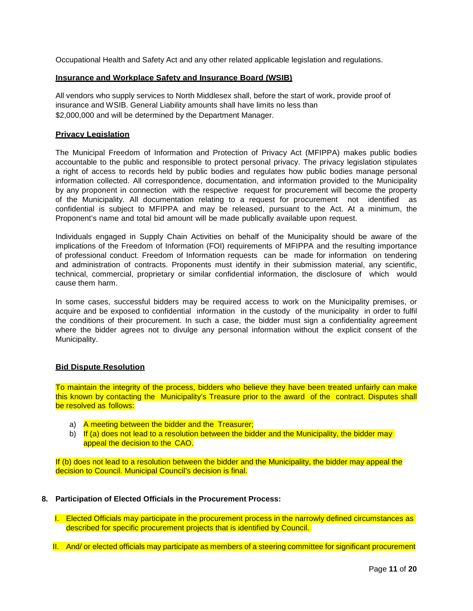Occupational Health and Safety Act and any other related applicable legislation and regulations.

#### <span id="page-10-0"></span>**Insurance and Workplace Safety and Insurance Board (WSIB)**

All vendors who supply services to North Middlesex shall, before the start of work, provide proof of insurance and WSIB. General Liability amounts shall have limits no less than \$2,000,000 and will be determined by the Department Manager.

#### <span id="page-10-1"></span>**Privacy Legislation**

The Municipal Freedom of Information and Protection of Privacy Act (MFIPPA) makes public bodies accountable to the public and responsible to protect personal privacy. The privacy legislation stipulates a right of access to records held by public bodies and regulates how public bodies manage personal information collected. All correspondence, documentation, and information provided to the Municipality by any proponent in connection with the respective request for procurement will become the property of the Municipality. All documentation relating to a request for procurement not identified as confidential is subject to MFIPPA and may be released, pursuant to the Act. At a minimum, the Proponent's name and total bid amount will be made publically available upon request.

Individuals engaged in Supply Chain Activities on behalf of the Municipality should be aware of the implications of the Freedom of Information (FOI) requirements of MFIPPA and the resulting importance of professional conduct. Freedom of Information requests can be made for information on tendering and administration of contracts. Proponents must identify in their submission material, any scientific, technical, commercial, proprietary or similar confidential information, the disclosure of which would cause them harm.

In some cases, successful bidders may be required access to work on the Municipality premises, or acquire and be exposed to confidential information in the custody of the municipality in order to fulfil the conditions of their procurement. In such a case, the bidder must sign a confidentiality agreement where the bidder agrees not to divulge any personal information without the explicit consent of the Municipality.

#### <span id="page-10-2"></span>**Bid Dispute Resolution**

To maintain the integrity of the process, bidders who believe they have been treated unfairly can make this known by contacting the Municipality's Treasure prior to the award of the contract. Disputes shall be resolved as follows:

- a) A meeting between the bidder and the Treasurer;
- b) If (a) does not lead to a resolution between the bidder and the Municipality, the bidder may appeal the decision to the CAO.

If (b) does not lead to a resolution between the bidder and the Municipality, the bidder may appeal the decision to Council. Municipal Council's decision is final.

#### <span id="page-10-3"></span>**8. Participation of Elected Officials in the Procurement Process:**

I. Elected Officials may participate in the procurement process in the narrowly defined circumstances as described for specific procurement projects that is identified by Council.

II. And/ or elected officials may participate as members of a steering committee for significant procurement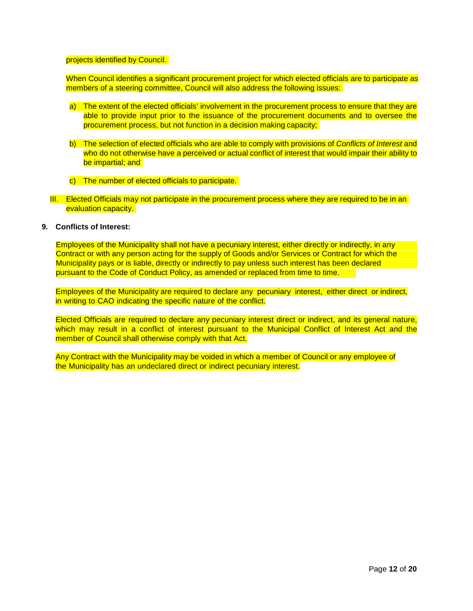#### projects identified by Council.

When Council identifies a significant procurement project for which elected officials are to participate as members of a steering committee, Council will also address the following issues:

- a) The extent of the elected officials' involvement in the procurement process to ensure that they are able to provide input prior to the issuance of the procurement documents and to oversee the procurement process, but not function in a decision making capacity;
- b) The selection of elected officials who are able to comply with provisions of *Conflicts of Interest* and who do not otherwise have a perceived or actual conflict of interest that would impair their ability to be impartial; and
- c) The number of elected officials to participate.
- III. Elected Officials may not participate in the procurement process where they are required to be in an evaluation capacity.

#### <span id="page-11-0"></span>**9. Conflicts of Interest:**

Employees of the Municipality shall not have a pecuniary interest, either directly or indirectly, in any Contract or with any person acting for the supply of Goods and/or Services or Contract for which the Municipality pays or is liable, directly or indirectly to pay unless such interest has been declared pursuant to the Code of Conduct Policy, as amended or replaced from time to time.

Employees of the Municipality are required to declare any pecuniary interest, either direct or indirect, in writing to CAO indicating the specific nature of the conflict.

Elected Officials are required to declare any pecuniary interest direct or indirect, and its general nature, which may result in a conflict of interest pursuant to the Municipal Conflict of Interest Act and the member of Council shall otherwise comply with that Act.

Any Contract with the Municipality may be voided in which a member of Council or any employee of the Municipality has an undeclared direct or indirect pecuniary interest.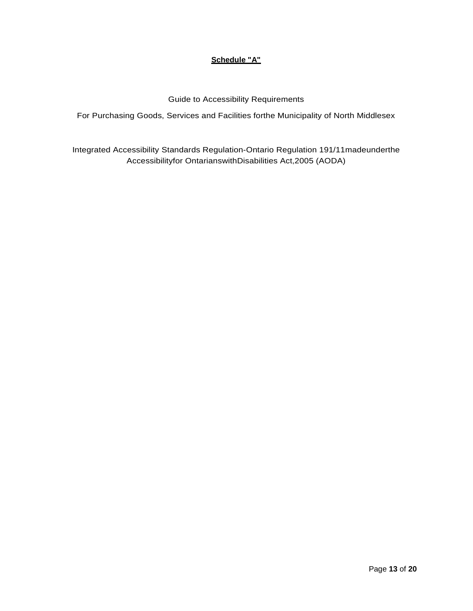# **Schedule "A"**

Guide to Accessibility Requirements

<span id="page-12-0"></span>For Purchasing Goods, Services and Facilities forthe Municipality of North Middlesex

Integrated Accessibility Standards Regulation-Ontario Regulation 191/11madeunderthe Accessibilityfor OntarianswithDisabilities Act,2005 (AODA)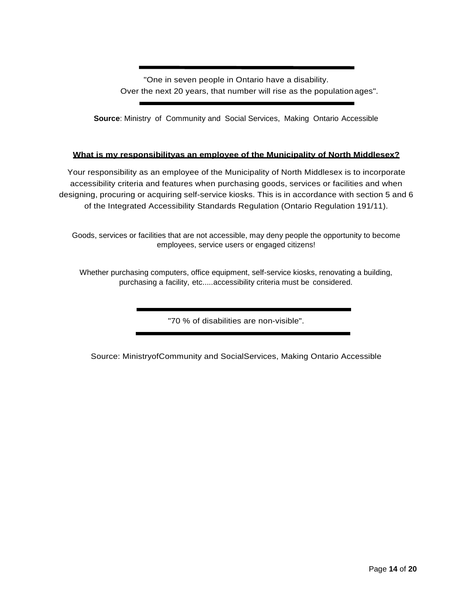"One in seven people in Ontario have a disability. Over the next 20 years, that number will rise as the population ages".

**Source**: Ministry of Community and Social Services, Making Ontario Accessible

# **What is my responsibilityas an employee of the Municipality of North Middlesex?**

Your responsibility as an employee of the Municipality of North Middlesex is to incorporate accessibility criteria and features when purchasing goods, services or facilities and when designing, procuring or acquiring self-service kiosks. This is in accordance with section 5 and 6 of the Integrated Accessibility Standards Regulation (Ontario Regulation 191/11).

Goods, services or facilities that are not accessible, may deny people the opportunity to become employees, service users or engaged citizens!

Whether purchasing computers, office equipment, self-service kiosks, renovating a building, purchasing a facility, etc.....accessibility criteria must be considered.

"70 % of disabilities are non-visible".

Source: MinistryofCommunity and SocialServices, Making Ontario Accessible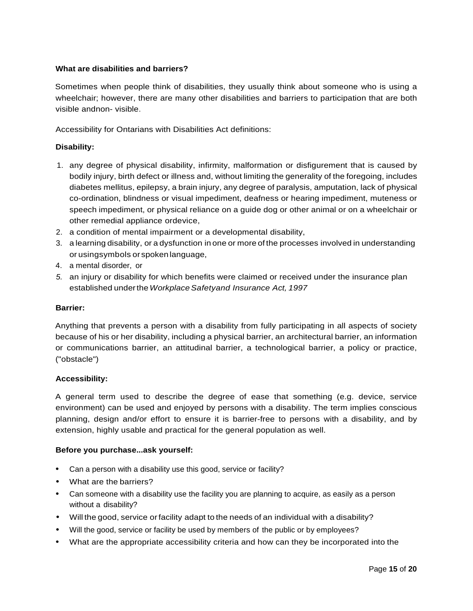# **What are disabilities and barriers?**

Sometimes when people think of disabilities, they usually think about someone who is using a wheelchair; however, there are many other disabilities and barriers to participation that are both visible andnon- visible.

Accessibility for Ontarians with Disabilities Act definitions:

# **Disability:**

- 1. any degree of physical disability, infirmity, malformation or disfigurement that is caused by bodily injury, birth defect or illness and, without limiting the generality of the foregoing, includes diabetes mellitus, epilepsy, a brain injury, any degree of paralysis, amputation, lack of physical co-ordination, blindness or visual impediment, deafness or hearing impediment, muteness or speech impediment, or physical reliance on a guide dog or other animal or on a wheelchair or other remedial appliance ordevice,
- 2. a condition of mental impairment or a developmental disability,
- 3. a learning disability, or a dysfunction in one or more of the processes involved in understanding or usingsymbols or spokenlanguage,
- 4. a mental disorder, or
- *5.* an injury or disability for which benefits were claimed or received under the insurance plan established underthe*WorkplaceSafetyand Insurance Act, 1997*

## **Barrier:**

Anything that prevents a person with a disability from fully participating in all aspects of society because of his or her disability, including a physical barrier, an architectural barrier, an information or communications barrier, an attitudinal barrier, a technological barrier, a policy or practice, ("obstacle")

# **Accessibility:**

A general term used to describe the degree of ease that something (e.g. device, service environment) can be used and enjoyed by persons with a disability. The term implies conscious planning, design and/or effort to ensure it is barrier-free to persons with a disability, and by extension, highly usable and practical for the general population as well.

# **Before you purchase...ask yourself:**

- Can a person with a disability use this good, service or facility?
- What are the barriers?
- Can someone with a disability use the facility you are planning to acquire, as easily as a person without a disability?
- Will the good, service orfacility adapt to the needs of an individual with a disability?
- Will the good, service or facility be used by members of the public or by employees?
- What are the appropriate accessibility criteria and how can they be incorporated into the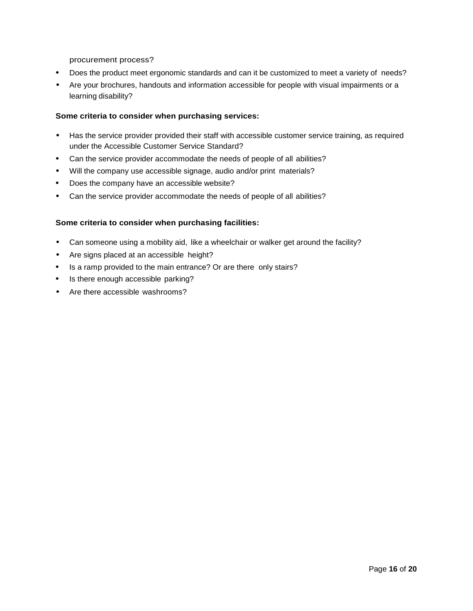procurement process?

- Does the product meet ergonomic standards and can it be customized to meet a variety of needs?
- Are your brochures, handouts and information accessible for people with visual impairments or a learning disability?

#### **Some criteria to consider when purchasing services:**

- Has the service provider provided their staff with accessible customer service training, as required under the Accessible Customer Service Standard?
- Can the service provider accommodate the needs of people of all abilities?
- Will the company use accessible signage, audio and/or print materials?
- Does the company have an accessible website?
- Can the service provider accommodate the needs of people of all abilities?

#### **Some criteria to consider when purchasing facilities:**

- Can someone using a mobility aid, like a wheelchair or walker get around the facility?
- Are signs placed at an accessible height?
- Is a ramp provided to the main entrance? Or are there only stairs?
- Is there enough accessible parking?
- Are there accessible washrooms?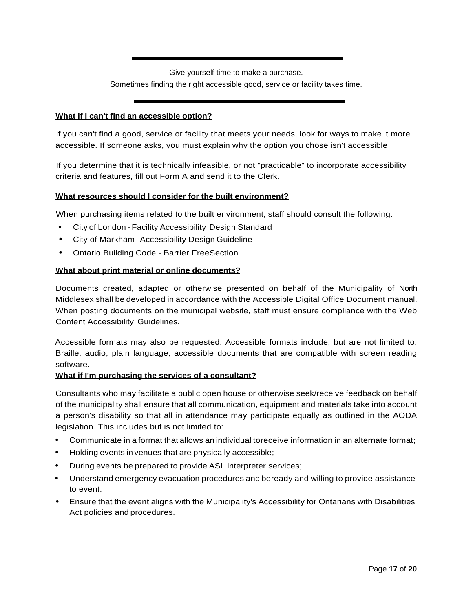Give yourself time to make a purchase. Sometimes finding the right accessible good, service or facility takes time.

## **What if I can't find an accessible option?**

If you can't find a good, service or facility that meets your needs, look for ways to make it more accessible. If someone asks, you must explain why the option you chose isn't accessible

If you determine that it is technically infeasible, or not "practicable" to incorporate accessibility criteria and features, fill out Form A and send it to the Clerk.

#### **What resources should I consider for the built environment?**

When purchasing items related to the built environment, staff should consult the following:

- City of London Facility Accessibility Design Standard
- City of Markham -Accessibility Design Guideline
- Ontario Building Code Barrier FreeSection

#### **What about print material or online documents?**

Documents created, adapted or otherwise presented on behalf of the Municipality of North Middlesex shall be developed in accordance with the Accessible Digital Office Document manual. When posting documents on the municipal website, staff must ensure compliance with the Web Content Accessibility Guidelines.

Accessible formats may also be requested. Accessible formats include, but are not limited to: Braille, audio, plain language, accessible documents that are compatible with screen reading software.

#### **What if I'm purchasing the services of a consultant?**

Consultants who may facilitate a public open house or otherwise seek/receive feedback on behalf of the municipality shall ensure that all communication, equipment and materials take into account a person's disability so that all in attendance may participate equally as outlined in the AODA legislation. This includes but is not limited to:

- Communicate in a format that allows an individual toreceive information in an alternate format;
- Holding events in venues that are physically accessible;
- During events be prepared to provide ASL interpreter services;
- Understand emergency evacuation procedures and beready and willing to provide assistance to event.
- Ensure that the event aligns with the Municipality's Accessibility for Ontarians with Disabilities Act policies and procedures.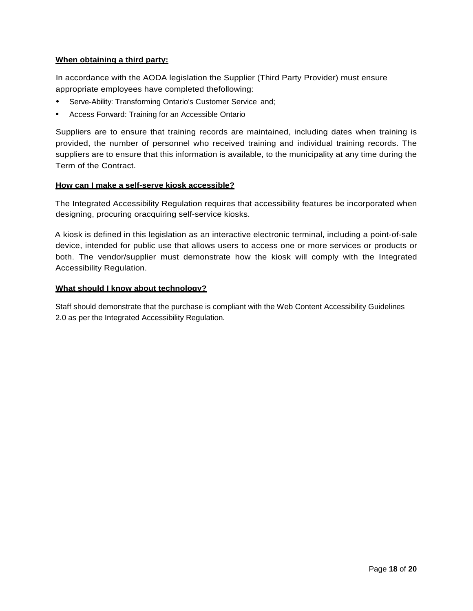# **When obtaining a third party:**

In accordance with the AODA legislation the Supplier (Third Party Provider) must ensure appropriate employees have completed thefollowing:

- Serve-Ability: Transforming Ontario's Customer Service and;
- Access Forward: Training for an Accessible Ontario

Suppliers are to ensure that training records are maintained, including dates when training is provided, the number of personnel who received training and individual training records. The suppliers are to ensure that this information is available, to the municipality at any time during the Term of the Contract.

#### **How can I make a self-serve kiosk accessible?**

The Integrated Accessibility Regulation requires that accessibility features be incorporated when designing, procuring oracquiring self-service kiosks.

A kiosk is defined in this legislation as an interactive electronic terminal, including a point-of-sale device, intended for public use that allows users to access one or more services or products or both. The vendor/supplier must demonstrate how the kiosk will comply with the Integrated Accessibility Regulation.

#### **What should I know about technology?**

Staff should demonstrate that the purchase is compliant with the Web Content Accessibility Guidelines 2.0 as per the Integrated Accessibility Regulation.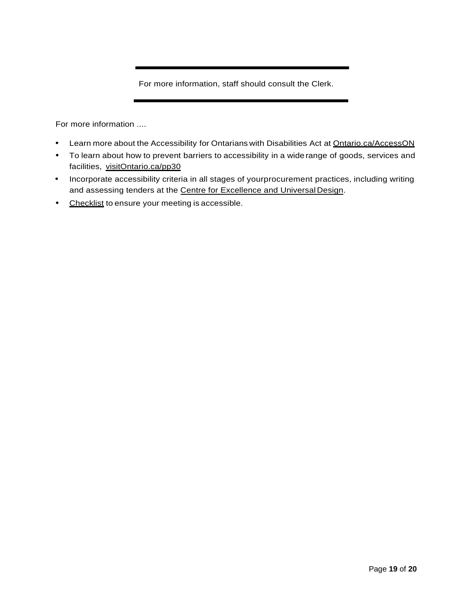For more information, staff should consult the Clerk.

For more information ....

- Learn more about the Accessibility for Ontarians with Disabilities Act at Ontario.ca/AccessON
- To learn about how to prevent barriers to accessibility in a widerange of goods, services and facilities, visitOntario.ca/pp30
- Incorporate accessibility criteria in all stages of yourprocurement practices, including writing and assessing tenders at the Centre for Excellence and Universal Design.
- Checklist to ensure your meeting is accessible.